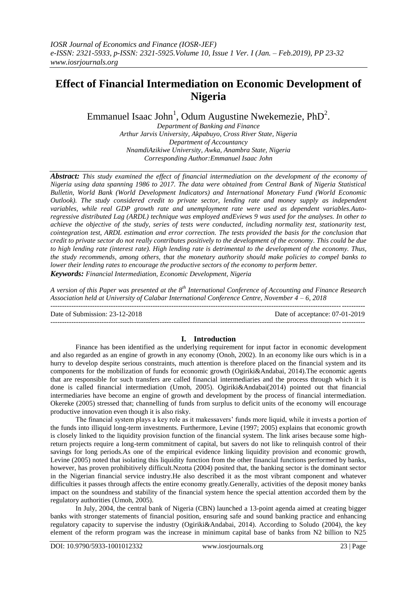# **Effect of Financial Intermediation on Economic Development of Nigeria**

Emmanuel Isaac John<sup>1</sup>, Odum Augustine Nwekemezie, PhD<sup>2</sup>.

*Department of Banking and Finance Arthur Jarvis University, Akpabuyo, Cross River State, Nigeria Department of Accountancy NnamdiAzikiwe University, Awka, Anambra State, Nigeria Corresponding Author:Emmanuel Isaac John*

*Abstract: This study examined the effect of financial intermediation on the development of the economy of Nigeria using data spanning 1986 to 2017. The data were obtained from Central Bank of Nigeria Statistical Bulletin, World Bank (World Development Indicators) and International Monetary Fund (World Economic Outlook). The study considered credit to private sector, lending rate and money supply as independent variables, while real GDP growth rate and unemployment rate were used as dependent variables.Autoregressive distributed Lag (ARDL) technique was employed andEviews 9 was used for the analyses. In other to achieve the objective of the study, series of tests were conducted, including normality test, stationarity test, cointegration test, ARDL estimation and error correction. The tests provided the basis for the conclusion that credit to private sector do not really contributes positively to the development of the economy. This could be due to high lending rate (interest rate). High lending rate is detrimental to the development of the economy. Thus, the study recommends, among others, that the monetary authority should make policies to compel banks to lower their lending rates to encourage the productive sectors of the economy to perform better. Keywords: Financial Intermediation, Economic Development, Nigeria*

*A version of this Paper was presented at the 8th International Conference of Accounting and Finance Research Association held at University of Calabar International Conference Centre, November 4 – 6, 2018*

 $-1.1$ 

Date of Submission: 23-12-2018 Date of acceptance: 07-01-2019

#### **I. Introduction**

Finance has been identified as the underlying requirement for input factor in economic development and also regarded as an engine of growth in any economy (Onoh, 2002). In an economy like ours which is in a hurry to develop despite serious constraints, much attention is therefore placed on the financial system and its components for the mobilization of funds for economic growth (Ogiriki&Andabai, 2014).The economic agents that are responsible for such transfers are called financial intermediaries and the process through which it is done is called financial intermediation (Umoh, 2005). Ogiriki&Andabai(2014) pointed out that financial intermediaries have become an engine of growth and development by the process of financial intermediation. Okereke (2005) stressed that; channelling of funds from surplus to deficit units of the economy will encourage productive innovation even though it is also risky.

The financial system plays a key role as it makessavers' funds more liquid, while it invests a portion of the funds into illiquid long-term investments. Furthermore, Levine (1997; 2005) explains that economic growth is closely linked to the liquidity provision function of the financial system. The link arises because some highreturn projects require a long-term commitment of capital, but savers do not like to relinquish control of their savings for long periods.As one of the empirical evidence linking liquidity provision and economic growth, Levine (2005) noted that isolating this liquidity function from the other financial functions performed by banks, however, has proven prohibitively difficult.Nzotta (2004) posited that, the banking sector is the dominant sector in the Nigerian financial service industry.He also described it as the most vibrant component and whatever difficulties it passes through affects the entire economy greatly.Generally, activities of the deposit money banks impact on the soundness and stability of the financial system hence the special attention accorded them by the regulatory authorities (Umoh, 2005).

In July, 2004, the central bank of Nigeria (CBN) launched a 13-point agenda aimed at creating bigger banks with stronger statements of financial position, ensuring safe and sound banking practice and enhancing regulatory capacity to supervise the industry (Ogiriki&Andabai, 2014). According to Soludo (2004), the key element of the reform program was the increase in minimum capital base of banks from N2 billion to N25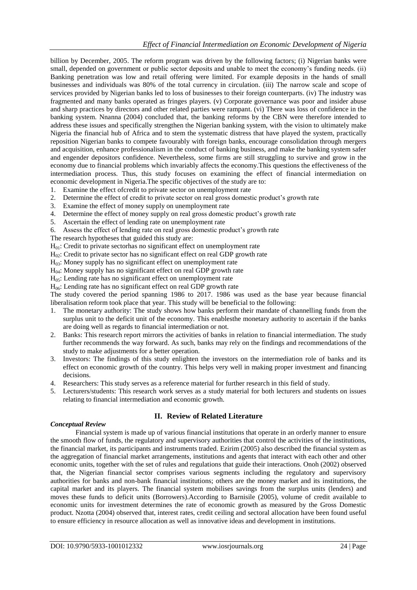billion by December, 2005. The reform program was driven by the following factors; (i) Nigerian banks were small, depended on government or public sector deposits and unable to meet the economy's funding needs. (ii) Banking penetration was low and retail offering were limited. For example deposits in the hands of small businesses and individuals was 80% of the total currency in circulation. (iii) The narrow scale and scope of services provided by Nigerian banks led to loss of businesses to their foreign counterparts. (iv) The industry was fragmented and many banks operated as fringes players. (v) Corporate governance was poor and insider abuse and sharp practices by directors and other related parties were rampant. (vi) There was loss of confidence in the banking system. Nnanna (2004) concluded that, the banking reforms by the CBN were therefore intended to address these issues and specifically strengthen the Nigerian banking system, with the vision to ultimately make Nigeria the financial hub of Africa and to stem the systematic distress that have played the system, practically reposition Nigerian banks to compete favourably with foreign banks, encourage consolidation through mergers and acquisition, enhance professionalism in the conduct of banking business, and make the banking system safer and engender depositors confidence. Nevertheless, some firms are still struggling to survive and grow in the economy due to financial problems which invariably affects the economy.This questions the effectiveness of the intermediation process. Thus, this study focuses on examining the effect of financial intermediation on economic development in Nigeria.The specific objectives of the study are to:

- 1. Examine the effect ofcredit to private sector on unemployment rate
- 2. Determine the effect of credit to private sector on real gross domestic product's growth rate
- 3. Examine the effect of money supply on unemployment rate
- 4. Determine the effect of money supply on real gross domestic product's growth rate
- 5. Ascertain the effect of lending rate on unemployment rate
- 6. Assess the effect of lending rate on real gross domestic product's growth rate

The research hypotheses that guided this study are:

H01: Credit to private sectorhas no significant effect on unemployment rate

H<sub>02</sub>: Credit to private sector has no significant effect on real GDP growth rate

H03: Money supply has no significant effect on unemployment rate

 $H<sub>04</sub>$ : Money supply has no significant effect on real GDP growth rate

 $H<sub>05</sub>$ : Lending rate has no significant effect on unemployment rate

 $H<sub>06</sub>$ : Lending rate has no significant effect on real GDP growth rate

The study covered the period spanning 1986 to 2017. 1986 was used as the base year because financial liberalisation reform took place that year. This study will be beneficial to the following:

- 1. The monetary authority: The study shows how banks perform their mandate of channelling funds from the surplus unit to the deficit unit of the economy. This enablesthe monetary authority to ascertain if the banks are doing well as regards to financial intermediation or not.
- 2. Banks: This research report mirrors the activities of banks in relation to financial intermediation. The study further recommends the way forward. As such, banks may rely on the findings and recommendations of the study to make adjustments for a better operation.
- 3. Investors: The findings of this study enlighten the investors on the intermediation role of banks and its effect on economic growth of the country. This helps very well in making proper investment and financing decisions.
- 4. Researchers: This study serves as a reference material for further research in this field of study.
- 5. Lecturers/students: This research work serves as a study material for both lecturers and students on issues relating to financial intermediation and economic growth.

# **II. Review of Related Literature**

#### *Conceptual Review*

Financial system is made up of various financial institutions that operate in an orderly manner to ensure the smooth flow of funds, the regulatory and supervisory authorities that control the activities of the institutions, the financial market, its participants and instruments traded. Ezirim (2005) also described the financial system as the aggregation of financial market arrangements, institutions and agents that interact with each other and other economic units, together with the set of rules and regulations that guide their interactions. Onoh (2002) observed that, the Nigerian financial sector comprises various segments including the regulatory and supervisory authorities for banks and non-bank financial institutions; others are the money market and its institutions, the capital market and its players. The financial system mobilises savings from the surplus units (lenders) and moves these funds to deficit units (Borrowers).According to Barnisile (2005), volume of credit available to economic units for investment determines the rate of economic growth as measured by the Gross Domestic product. Nzotta (2004) observed that, interest rates, credit ceiling and sectoral allocation have been found useful to ensure efficiency in resource allocation as well as innovative ideas and development in institutions.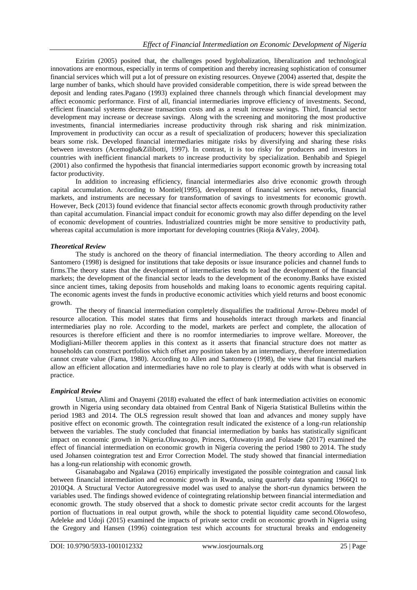Ezirim (2005) posited that, the challenges posed byglobalization, liberalization and technological innovations are enormous, especially in terms of competition and thereby increasing sophistication of consumer financial services which will put a lot of pressure on existing resources. Onyewe (2004) asserted that, despite the large number of banks, which should have provided considerable competition, there is wide spread between the deposit and lending rates.Pagano (1993) explained three channels through which financial development may affect economic performance. First of all, financial intermediaries improve efficiency of investments. Second, efficient financial systems decrease transaction costs and as a result increase savings. Third, financial sector development may increase or decrease savings. Along with the screening and monitoring the most productive investments, financial intermediaries increase productivity through risk sharing and risk minimization. Improvement in productivity can occur as a result of specialization of producers; however this specialization bears some risk. Developed financial intermediaries mitigate risks by diversifying and sharing these risks between investors (Acemoglu&Zilibotti, 1997). In contrast, it is too risky for producers and investors in countries with inefficient financial markets to increase productivity by specialization. Benhabib and Spiegel (2001) also confirmed the hypothesis that financial intermediaries support economic growth by increasing total factor productivity.

In addition to increasing efficiency, financial intermediaries also drive economic growth through capital accumulation. According to Montiel(1995), development of financial services networks, financial markets, and instruments are necessary for transformation of savings to investments for economic growth. However, Beck (2013) found evidence that financial sector affects economic growth through productivity rather than capital accumulation. Financial impact conduit for economic growth may also differ depending on the level of economic development of countries. Industrialized countries might be more sensitive to productivity path, whereas capital accumulation is more important for developing countries (Rioja &Valey, 2004).

#### *Theoretical Review*

The study is anchored on the theory of financial intermediation. The theory according to Allen and Santomero (1998) is designed for institutions that take deposits or issue insurance policies and channel funds to firms.The theory states that the development of intermediaries tends to lead the development of the financial markets; the development of the financial sector leads to the development of the economy.Banks have existed since ancient times, taking deposits from households and making loans to economic agents requiring capital. The economic agents invest the funds in productive economic activities which yield returns and boost economic growth.

The theory of financial intermediation completely disqualifies the traditional Arrow-Debreu model of resource allocation. This model states that firms and households interact through markets and financial intermediaries play no role. According to the model, markets are perfect and complete, the allocation of resources is therefore efficient and there is no roomfor intermediaries to improve welfare. Moreover, the Modigliani-Miller theorem applies in this context as it asserts that financial structure does not matter as households can construct portfolios which offset any position taken by an intermediary, therefore intermediation cannot create value (Fama, 1980). According to Allen and Santomero (1998), the view that financial markets allow an efficient allocation and intermediaries have no role to play is clearly at odds with what is observed in practice.

# *Empirical Review*

Usman, Alimi and Onayemi (2018) evaluated the effect of bank intermediation activities on economic growth in Nigeria using secondary data obtained from Central Bank of Nigeria Statistical Bulletins within the period 1983 and 2014. The OLS regression result showed that loan and advances and money supply have positive effect on economic growth. The cointegration result indicated the existence of a long-run relationship between the variables. The study concluded that financial intermediation by banks has statistically significant impact on economic growth in Nigeria.Oluwasogo, Princess, Oluwatoyin and Folasade (2017) examined the effect of financial intermediation on economic growth in Nigeria covering the period 1980 to 2014. The study used Johansen cointegration test and Error Correction Model. The study showed that financial intermediation has a long-run relationship with economic growth.

Gisanabagabo and Ngalawa (2016) empirically investigated the possible cointegration and causal link between financial intermediation and economic growth in Rwanda, using quarterly data spanning 1966Q1 to 2010Q4. A Structural Vector Autoregressive model was used to analyse the short-run dynamics between the variables used. The findings showed evidence of cointegrating relationship between financial intermediation and economic growth. The study observed that a shock to domestic private sector credit accounts for the largest portion of fluctuations in real output growth, while the shock to potential liquidity came second.Olowofeso, Adeleke and Udoji (2015) examined the impacts of private sector credit on economic growth in Nigeria using the Gregory and Hansen (1996) cointegration test which accounts for structural breaks and endogeneity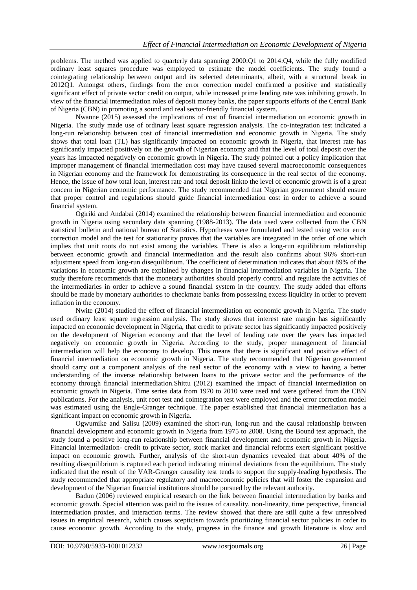problems. The method was applied to quarterly data spanning 2000:Q1 to 2014:Q4, while the fully modified ordinary least squares procedure was employed to estimate the model coefficients. The study found a cointegrating relationship between output and its selected determinants, albeit, with a structural break in 2012Q1. Amongst others, findings from the error correction model confirmed a positive and statistically significant effect of private sector credit on output, while increased prime lending rate was inhibiting growth. In view of the financial intermediation roles of deposit money banks, the paper supports efforts of the Central Bank of Nigeria (CBN) in promoting a sound and real sector-friendly financial system.

Nwanne (2015) assessed the implications of cost of financial intermediation on economic growth in Nigeria. The study made use of ordinary least square regression analysis. The co-integration test indicated a long-run relationship between cost of financial intermediation and economic growth in Nigeria. The study shows that total loan (TL) has significantly impacted on economic growth in Nigeria, that interest rate has significantly impacted positively on the growth of Nigerian economy and that the level of total deposit over the years has impacted negatively on economic growth in Nigeria. The study pointed out a policy implication that improper management of financial intermediation cost may have caused several macroeconomic consequences in Nigerian economy and the framework for demonstrating its consequence in the real sector of the economy. Hence, the issue of how total loan, interest rate and total deposit linkto the level of economic growth is of a great concern in Nigerian economic performance. The study recommended that Nigerian government should ensure that proper control and regulations should guide financial intermediation cost in order to achieve a sound financial system.

Ogiriki and Andabai (2014) examined the relationship between financial intermediation and economic growth in Nigeria using secondary data spanning (1988-2013). The data used were collected from the CBN statistical bulletin and national bureau of Statistics. Hypotheses were formulated and tested using vector error correction model and the test for stationarity proves that the variables are integrated in the order of one which implies that unit roots do not exist among the variables. There is also a long-run equilibrium relationship between economic growth and financial intermediation and the result also confirms about 96% short-run adjustment speed from long-run disequilibrium. The coefficient of determination indicates that about 89% of the variations in economic growth are explained by changes in financial intermediation variables in Nigeria. The study therefore recommends that the monetary authorities should properly control and regulate the activities of the intermediaries in order to achieve a sound financial system in the country. The study added that efforts should be made by monetary authorities to checkmate banks from possessing excess liquidity in order to prevent inflation in the economy.

Nwite (2014) studied the effect of financial intermediation on economic growth in Nigeria. The study used ordinary least square regression analysis. The study shows that interest rate margin has significantly impacted on economic development in Nigeria, that credit to private sector has significantly impacted positively on the development of Nigerian economy and that the level of lending rate over the years has impacted negatively on economic growth in Nigeria. According to the study, proper management of financial intermediation will help the economy to develop. This means that there is significant and positive effect of financial intermediation on economic growth in Nigeria. The study recommended that Nigerian government should carry out a component analysis of the real sector of the economy with a view to having a better understanding of the inverse relationship between loans to the private sector and the performance of the economy through financial intermediation.Shittu (2012) examined the impact of financial intermediation on economic growth in Nigeria. Time series data from 1970 to 2010 were used and were gathered from the CBN publications. For the analysis, unit root test and cointegration test were employed and the error correction model was estimated using the Engle-Granger technique. The paper established that financial intermediation has a significant impact on economic growth in Nigeria.

Ogwumike and Salisu (2009) examined the short-run, long-run and the causal relationship between financial development and economic growth in Nigeria from 1975 to 2008. Using the Bound test approach, the study found a positive long-run relationship between financial development and economic growth in Nigeria. Financial intermediation- credit to private sector, stock market and financial reforms exert significant positive impact on economic growth. Further, analysis of the short-run dynamics revealed that about 40% of the resulting disequilibrium is captured each period indicating minimal deviations from the equilibrium. The study indicated that the result of the VAR-Granger causality test tends to support the supply-leading hypothesis. The study recommended that appropriate regulatory and macroeconomic policies that will foster the expansion and development of the Nigerian financial institutions should be pursued by the relevant authority.

Badun (2006) reviewed empirical research on the link between financial intermediation by banks and economic growth. Special attention was paid to the issues of causality, non-linearity, time perspective, financial intermediation proxies, and interaction terms. The review showed that there are still quite a few unresolved issues in empirical research, which causes scepticism towards prioritizing financial sector policies in order to cause economic growth. According to the study, progress in the finance and growth literature is slow and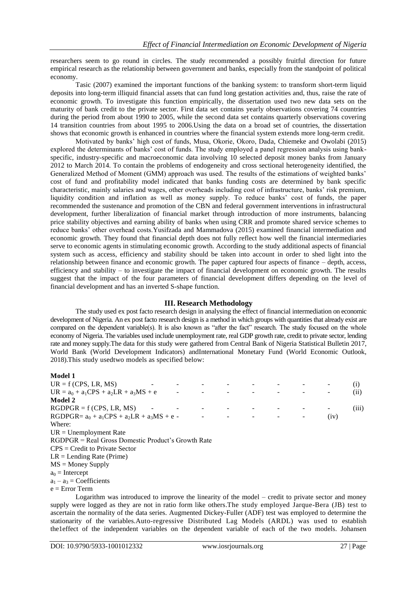researchers seem to go round in circles. The study recommended a possibly fruitful direction for future empirical research as the relationship between government and banks, especially from the standpoint of political economy.

Tasic (2007) examined the important functions of the banking system: to transform short-term liquid deposits into long-term illiquid financial assets that can fund long gestation activities and, thus, raise the rate of economic growth. To investigate this function empirically, the dissertation used two new data sets on the maturity of bank credit to the private sector. First data set contains yearly observations covering 74 countries during the period from about 1990 to 2005, while the second data set contains quarterly observations covering 14 transition countries from about 1995 to 2006.Using the data on a broad set of countries, the dissertation shows that economic growth is enhanced in countries where the financial system extends more long-term credit.

Motivated by banks' high cost of funds, Musa, Okorie, Okoro, Dada, Chiemeke and Owolabi (2015) explored the determinants of banks' cost of funds. The study employed a panel regression analysis using bankspecific, industry-specific and macroeconomic data involving 10 selected deposit money banks from January 2012 to March 2014. To contain the problems of endogeneity and cross sectional heterogeneity identified, the Generalized Method of Moment (GMM) approach was used. The results of the estimations of weighted banks' cost of fund and profitability model indicated that banks funding costs are determined by bank specific characteristic, mainly salaries and wages, other overheads including cost of infrastructure, banks' risk premium, liquidity condition and inflation as well as money supply. To reduce banks' cost of funds, the paper recommended the sustenance and promotion of the CBN and federal government interventions in infrastructural development, further liberalization of financial market through introduction of more instruments, balancing price stability objectives and earning ability of banks when using CRR and promote shared service schemes to reduce banks' other overhead costs.Yusifzada and Mammadova (2015) examined financial intermediation and economic growth. They found that financial depth does not fully reflect how well the financial intermediaries serve to economic agents in stimulating economic growth. According to the study additional aspects of financial system such as access, efficiency and stability should be taken into account in order to shed light into the relationship between finance and economic growth. The paper captured four aspects of finance – depth, access, efficiency and stability – to investigate the impact of financial development on economic growth. The results suggest that the impact of the four parameters of financial development differs depending on the level of financial development and has an inverted S-shape function.

#### **III. Research Methodology**

The study used ex post facto research design in analysing the effect of financial intermediation on economic development of Nigeria. An ex post facto research design is a method in which groups with quantities that already exist are compared on the dependent variable(s). It is also known as "after the fact" research. The study focused on the whole economy of Nigeria. The variables used include unemployment rate, real GDP growth rate, credit to private sector, lending rate and money supply.The data for this study were gathered from Central Bank of Nigeria Statistical Bulletin 2017, World Bank (World Development Indicators) andInternational Monetary Fund (World Economic Outlook, 2018).This study usedtwo models as specified below:

#### **Model 1**

| $UR = f(CPS, LR, MS)$                              |  |  |  |      | $\left(1\right)$ |
|----------------------------------------------------|--|--|--|------|------------------|
| $UR = a_0 + a_1CPS + a_2LR + a_3MS + e$            |  |  |  |      | (i)              |
| Model 2                                            |  |  |  |      |                  |
| $RGDPGR = f(CPS, LR, MS)$                          |  |  |  |      | (iii)            |
| $RGDPGR = a0 + a1CPS + a2LR + a3MS + e -$          |  |  |  | (iv) |                  |
| Where:                                             |  |  |  |      |                  |
| $UR = Unemployment Rate$                           |  |  |  |      |                  |
| RGDPGR = Real Gross Domestic Product's Growth Rate |  |  |  |      |                  |
| $CPS = Credit to Private Sector$                   |  |  |  |      |                  |
| $LR =$ Lending Rate (Prime)                        |  |  |  |      |                  |
| $MS =$ Money Supply                                |  |  |  |      |                  |
| $a_0$ = Intercept                                  |  |  |  |      |                  |
| $a_1 - a_3 = Coefficients$                         |  |  |  |      |                  |
| e = Error Term                                     |  |  |  |      |                  |
|                                                    |  |  |  |      |                  |

Logarithm was introduced to improve the linearity of the model – credit to private sector and money supply were logged as they are not in ratio form like others.The study employed Jarque-Bera (JB) test to ascertain the normality of the data series. Augmented Dickey-Fuller (ADF) test was employed to determine the stationarity of the variables.Auto-regressive Distributed Lag Models (ARDL) was used to establish the1effect of the independent variables on the dependent variable of each of the two models. Johansen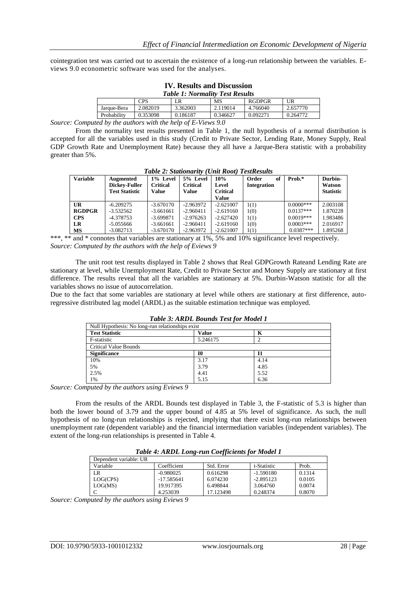cointegration test was carried out to ascertain the existence of a long-run relationship between the variables. Eviews 9.0 econometric software was used for the analyses.

| TV. RESUITS AND DISCUSSION<br><b>Table 1: Normality Test Results</b> |          |          |           |               |          |  |  |  |
|----------------------------------------------------------------------|----------|----------|-----------|---------------|----------|--|--|--|
|                                                                      | CPS      | LR       | <b>MS</b> | <b>RGDPGR</b> | UR       |  |  |  |
| Jarque-Bera                                                          | 2.082019 | 3.362003 | 2.119014  | 4.766040      | 2.657770 |  |  |  |
| Probability                                                          | 0.353098 | 0.186187 | 0.346627  | 0.092271      | 0.264772 |  |  |  |
| $\sim$ $\sim$<br>.                                                   |          |          |           |               |          |  |  |  |

**IV. Results and Discussion**

*Source: Computed by the authors with the help of E-Views 9.0*

From the normality test results presented in Table 1, the null hypothesis of a normal distribution is accepted for all the variables used in this study (Credit to Private Sector, Lending Rate, Money Supply, Real GDP Growth Rate and Unemployment Rate) because they all have a Jarque-Bera statistic with a probability greater than 5%.

| Tubic 2. Shunbhur ay Chin Kobit Teshwanis |                       |             |                 |                 |             |             |                  |  |
|-------------------------------------------|-----------------------|-------------|-----------------|-----------------|-------------|-------------|------------------|--|
| <b>Variable</b>                           | Augmented             | 1% Level    | 5% Level        | 10%             | Order<br>of | Prob.*      | Durbin-          |  |
|                                           | Dickey-Fuller         | Critical    | <b>Critical</b> | Level           | Integration |             | Watson           |  |
|                                           | <b>Test Statistic</b> | Value       | Value           | <b>Critical</b> |             |             | <b>Statistic</b> |  |
|                                           |                       |             |                 | Value           |             |             |                  |  |
| UR                                        | $-6.209275$           | $-3.670170$ | $-2.963972$     | $-2.621007$     | 1(1)        | $0.0000***$ | 2.003108         |  |
| <b>RGDPGR</b>                             | $-3.532562$           | $-3.661661$ | $-2.960411$     | $-2.619160$     | 1(0)        | $0.0137***$ | 1.870228         |  |
| <b>CPS</b>                                | -4.378753             | $-3.699871$ | $-2.976263$     | $-2.627420$     | 1(1)        | $0.0019***$ | 1.983486         |  |
| LR                                        | $-5.055666$           | $-3.661661$ | $-2.960411$     | $-2.619160$     | 1(0)        | $0.0003***$ | 2.016917         |  |
| MS                                        | $-3.082713$           | $-3.670170$ | $-2.963972$     | $-2.621007$     | 1(1)        | $0.0387***$ | 895268.          |  |

*Table 2: Stationarity (Unit Root) TestResults*

\*\*\*, \*\* and \* connotes that variables are stationary at 1%, 5% and 10% significance level respectively. *Source: Computed by the authors with the help of Eviews 9* 

The unit root test results displayed in Table 2 shows that Real GDPGrowth Rateand Lending Rate are stationary at level, while Unemployment Rate, Credit to Private Sector and Money Supply are stationary at first difference. The results reveal that all the variables are stationary at 5%. Durbin-Watson statistic for all the variables shows no issue of autocorrelation.

Due to the fact that some variables are stationary at level while others are stationary at first difference, autoregressive distributed lag model (ARDL) as the suitable estimation technique was employed.

| Null Hypothesis: No long-run relationships exist |              |      |  |
|--------------------------------------------------|--------------|------|--|
| <b>Test Statistic</b>                            | <b>Value</b> | K    |  |
| F-statistic                                      | 5.246175     |      |  |
| <b>Critical Value Bounds</b>                     |              |      |  |
| <b>Significance</b>                              | 10           | 11   |  |
| 10%                                              | 3.17         | 4.14 |  |
| 5%                                               | 3.79         | 4.85 |  |
| 2.5%                                             | 4.41         | 5.52 |  |
| 1%                                               | 5.15         | 6.36 |  |

*Table 3: ARDL Bounds Test for Model 1*

*Source: Computed by the authors using Eviews 9*

From the results of the ARDL Bounds test displayed in Table 3, the F-statistic of 5.3 is higher than both the lower bound of 3.79 and the upper bound of 4.85 at 5% level of significance. As such, the null hypothesis of no long-run relationships is rejected, implying that there exist long-run relationships between unemployment rate (dependent variable) and the financial intermediation variables (independent variables). The extent of the long-run relationships is presented in Table 4.

*Table 4: ARDL Long-run Coefficients for Model 1*

| Dependent variable: UR |              |            |             |        |
|------------------------|--------------|------------|-------------|--------|
| Variable               | Coefficient  | Std. Error | t-Statistic | Prob.  |
| LR                     | $-0.980025$  | 0.616298   | $-1.590180$ | 0.1314 |
| LOG(CPS)               | $-17.585641$ | 6.074230   | $-2.895123$ | 0.0105 |
| LOG(MS)                | 19.917395    | 6.498844   | 3.064760    | 0.0074 |
|                        | 4.253039     | 17.123498  | 0.248374    | 0.8070 |

*Source: Computed by the authors using Eviews 9*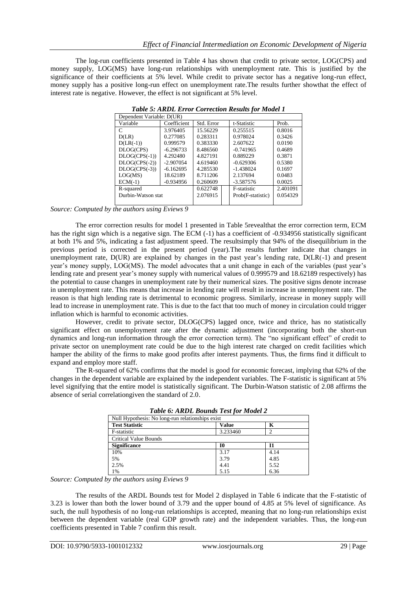The log-run coefficients presented in Table 4 has shown that credit to private sector, LOG(CPS) and money supply, LOG(MS) have long-run relationships with unemployment rate. This is justified by the significance of their coefficients at 5% level. While credit to private sector has a negative long-run effect, money supply has a positive long-run effect on unemployment rate.The results further showthat the effect of interest rate is negative. However, the effect is not significant at 5% level.

| Dependent Variable: D(UR) |             |            |  |                    |          |  |  |
|---------------------------|-------------|------------|--|--------------------|----------|--|--|
| Variable                  | Coefficient | Std. Error |  | t-Statistic        | Prob.    |  |  |
| C                         | 3.976405    | 15.56229   |  | 0.255515           | 0.8016   |  |  |
| D(LR)                     | 0.277085    | 0.283311   |  | 0.978024           | 0.3426   |  |  |
| $D(LR(-1))$               | 0.999579    | 0.383330   |  | 2.607622           | 0.0190   |  |  |
| DLOG(CPS)                 | $-6.296733$ | 8.486560   |  | $-0.741965$        | 0.4689   |  |  |
| $DLOG(CPS(-1))$           | 4.292480    | 4.827191   |  | 0.889229           | 0.3871   |  |  |
| $DLOG(CPS(-2))$           | $-2.907054$ | 4.619460   |  | $-0.629306$        | 0.5380   |  |  |
| $DLOG(CPS(-3))$           | $-6.162695$ | 4.285530   |  | $-1.438024$        | 0.1697   |  |  |
| LOG(MS)                   | 18.62189    | 8.711206   |  | 2.137694           | 0.0483   |  |  |
| $ECM(-1)$                 | $-0.934956$ | 0.260609   |  | $-3.587576$        | 0.0025   |  |  |
| R-squared                 |             | 0.622748   |  | <b>F-statistic</b> | 2.401091 |  |  |
| Durbin-Watson stat        |             | 2.076915   |  | Prob(F-statistic)  | 0.054329 |  |  |
|                           |             |            |  |                    |          |  |  |

*Table 5: ARDL Error Correction Results for Model 1*

*Source: Computed by the authors using Eviews 9*

The error correction results for model 1 presented in Table 5revealthat the error correction term, ECM has the right sign which is a negative sign. The ECM (-1) has a coefficient of -0.934956 statistically significant at both 1% and 5%, indicating a fast adjustment speed. The resultsimply that 94% of the disequilibrium in the previous period is corrected in the present period (year).The results further indicate that changes in unemployment rate, D(UR) are explained by changes in the past year's lending rate, D(LR(-1) and present year's money supply, LOG(MS). The model advocates that a unit change in each of the variables (past year's lending rate and present year's money supply with numerical values of 0.999579 and 18.62189 respectively) has the potential to cause changes in unemployment rate by their numerical sizes. The positive signs denote increase in unemployment rate. This means that increase in lending rate will result in increase in unemployment rate. The reason is that high lending rate is detrimental to economic progress. Similarly, increase in money supply will lead to increase in unemployment rate. This is due to the fact that too much of money in circulation could trigger inflation which is harmful to economic activities.

However, credit to private sector, DLOG(CPS) lagged once, twice and thrice, has no statistically significant effect on unemployment rate after the dynamic adjustment (incorporating both the short-run dynamics and long-run information through the error correction term). The "no significant effect" of credit to private sector on unemployment rate could be due to the high interest rate charged on credit facilities which hamper the ability of the firms to make good profits after interest payments. Thus, the firms find it difficult to expand and employ more staff.

The R-squared of 62% confirms that the model is good for economic forecast, implying that 62% of the changes in the dependent variable are explained by the independent variables. The F-statistic is significant at 5% level signifying that the entire model is statistically significant. The Durbin-Watson statistic of 2.08 affirms the absence of serial correlationgiven the standard of 2.0.

| Null Hypothesis: No long-run relationships exist |              |      |  |  |  |  |
|--------------------------------------------------|--------------|------|--|--|--|--|
| <b>Test Statistic</b>                            | <b>Value</b> | K    |  |  |  |  |
| F-statistic                                      | 3.233460     |      |  |  |  |  |
| <b>Critical Value Bounds</b>                     |              |      |  |  |  |  |
| <b>Significance</b>                              | 10           |      |  |  |  |  |
| 10%                                              | 3.17         | 4.14 |  |  |  |  |
| 5%                                               | 3.79         | 4.85 |  |  |  |  |
| 2.5%                                             | 4.41         | 5.52 |  |  |  |  |
| 1%                                               | 5.15         | 6.36 |  |  |  |  |

*Source: Computed by the authors using Eviews 9*

The results of the ARDL Bounds test for Model 2 displayed in Table 6 indicate that the F-statistic of 3.23 is lower than both the lower bound of 3.79 and the upper bound of 4.85 at 5% level of significance. As such, the null hypothesis of no long-run relationships is accepted, meaning that no long-run relationships exist between the dependent variable (real GDP growth rate) and the independent variables. Thus, the long-run coefficients presented in Table 7 confirm this result.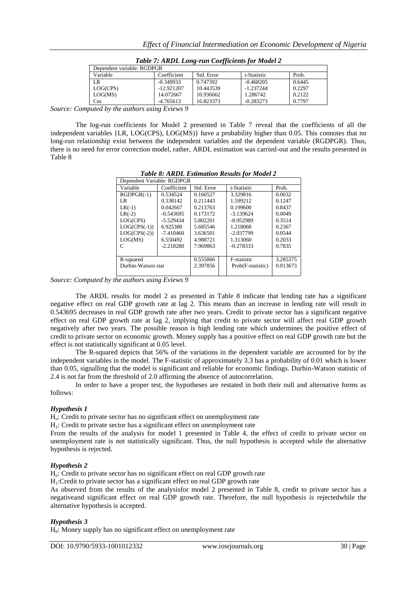|                            | Twore related bong run cooppening for moute b |            |             |        |
|----------------------------|-----------------------------------------------|------------|-------------|--------|
| Dependent variable: RGDPGR |                                               |            |             |        |
| Variable                   | Coefficient                                   | Std. Error | t-Statistic | Prob.  |
| LR.                        | $-0.349933$                                   | 0.747392   | $-0.468205$ | 0.6445 |
| LOG(CPS)                   | $-12.921207$                                  | 10.443539  | $-1.237244$ | 0.2297 |
| LOG(MS)                    | 14.072667                                     | 10.936662  | 1.286742    | 0.2122 |
| $\rm{Cm}$                  | $-4.765613$                                   | 16.823373  | $-0.283273$ | 0.7797 |

*Table 7: ARDL Long-run Coefficients for Model 2*

*Source: Computed by the authors using Eviews 9*

The log-run coefficients for Model 2 presented in Table 7 reveal that the coefficients of all the independent variables {LR, LOG(CPS), LOG(MS)} have a probability higher than 0.05. This connotes that no long-run relationship exist between the independent variables and the dependent variable (RGDPGR). Thus, there is no need for error correction model, rather, ARDL estimation was carried-out and the results presented in Table 8

*Table 8: ARDL Estimation Results for Model 2*

| Dependent Variable: RGDPGR |             |            |                   |          |  |  |  |
|----------------------------|-------------|------------|-------------------|----------|--|--|--|
| Variable                   | Coefficient | Std. Error | t-Statistic       | Prob.    |  |  |  |
| $RGDPGR(-1)$               | 0.534524    | 0.160527   | 3.329816          | 0.0032   |  |  |  |
| LR.                        | 0.338142    | 0.211443   | 1.599212          | 0.1247   |  |  |  |
| $LR(-1)$                   | 0.042667    | 0.213763   | 0.199600          | 0.8437   |  |  |  |
| $LR(-2)$                   | $-0.543695$ | 0.173172   | $-3.139624$       | 0.0049   |  |  |  |
| LOG(CPS)                   | $-5.529434$ | 5.802201   | $-0.952989$       | 0.3514   |  |  |  |
| $LOG(CPS(-1))$             | 6.925380    | 5.685546   | 1.218068          | 0.2367   |  |  |  |
| $LOG(CPS(-2))$             | $-7.410460$ | 3.636501   | $-2.037799$       | 0.0544   |  |  |  |
| LOG(MS)                    | 6.550492    | 4.988721   | 1.313060          | 0.2033   |  |  |  |
| C                          | $-2.218280$ | 7.969863   | $-0.278333$       | 0.7835   |  |  |  |
|                            |             |            |                   |          |  |  |  |
| R-squared                  |             | 0.555866   | F-statistic       | 3.285375 |  |  |  |
| Durbin-Watson stat         |             | 2.397856   | Prob(F-statistic) | 0.013673 |  |  |  |
|                            |             |            |                   |          |  |  |  |

*Source: Computed by the authors using Eviews 9*

The ARDL results for model 2 as presented in Table 8 indicate that lending rate has a significant negative effect on real GDP growth rate at lag 2. This means than an increase in lending rate will result in 0.543695 decreases in real GDP growth rate after two years. Credit to private sector has a significant negative effect on real GDP growth rate at lag 2, implying that credit to private sector will affect real GDP growth negatively after two years. The possible reason is high lending rate which undermines the positive effect of credit to private sector on economic growth. Money supply has a positive effect on real GDP growth rate but the effect is not statistically significant at 0.05 level.

The R-squared depicts that 56% of the variations in the dependent variable are accounted for by the independent variables in the model. The F-statistic of approximately 3.3 has a probability of 0.01 which is lower than 0.05, signalling that the model is significant and reliable for economic findings. Durbin-Watson statistic of 2.4 is not far from the threshold of 2.0 affirming the absence of autocorrelation.

In order to have a proper test, the hypotheses are restated in both their null and alternative forms as follows:

# *Hypothesis 1*

Ho: Credit to private sector has no significant effect on unemployment rate

 $H<sub>1</sub>$ : Credit to private sector has a significant effect on unemployment rate

From the results of the analysis for model 1 presented in Table 4, the effect of credit to private sector on unemployment rate is not statistically significant. Thus, the null hypothesis is accepted while the alternative hypothesis is rejected.

#### *Hypothesis 2*

Ho: Credit to private sector has no significant effect on real GDP growth rate

H1:Credit to private sector has a significant effect on real GDP growth rate

As observed from the results of the analysisfor model 2 presented in Table 8, credit to private sector has a negativeand significant effect on real GDP growth rate. Therefore, the null hypothesis is rejectedwhile the alternative hypothesis is accepted.

# *Hypothesis 3*

 $H<sub>0</sub>$ : Money supply has no significant effect on unemployment rate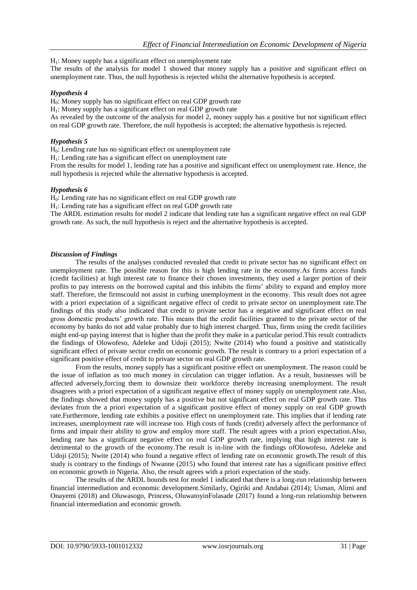$H<sub>1</sub>$ : Money supply has a significant effect on unemployment rate

The results of the analysis for model 1 showed that money supply has a positive and significant effect on unemployment rate. Thus, the null hypothesis is rejected whilst the alternative hypothesis is accepted.

#### *Hypothesis 4*

H0: Money supply has no significant effect on real GDP growth rate

 $H<sub>1</sub>$ : Money supply has a significant effect on real GDP growth rate

As revealed by the outcome of the analysis for model 2, money supply has a positive but not significant effect on real GDP growth rate. Therefore, the null hypothesis is accepted; the alternative hypothesis is rejected.

#### *Hypothesis 5*

H0: Lending rate has no significant effect on unemployment rate

 $H<sub>1</sub>$ : Lending rate has a significant effect on unemployment rate

From the results for model 1, lending rate has a positive and significant effect on unemployment rate. Hence, the null hypothesis is rejected while the alternative hypothesis is accepted.

#### *Hypothesis 6*

 $H<sub>0</sub>$ : Lending rate has no significant effect on real GDP growth rate

H<sub>1</sub>: Lending rate has a significant effect on real GDP growth rate

The ARDL estimation results for model 2 indicate that lending rate has a significant negative effect on real GDP growth rate. As such, the null hypothesis is reject and the alternative hypothesis is accepted.

#### *Discussion of Findings*

The results of the analyses conducted revealed that credit to private sector has no significant effect on unemployment rate. The possible reason for this is high lending rate in the economy.As firms access funds (credit facilities) at high interest rate to finance their chosen investments, they used a larger portion of their profits to pay interests on the borrowed capital and this inhibits the firms' ability to expand and employ more staff. Therefore, the firmscould not assist in curbing unemployment in the economy. This result does not agree with a priori expectation of a significant negative effect of credit to private sector on unemployment rate.The findings of this study also indicated that credit to private sector has a negative and significant effect on real gross domestic products' growth rate. This means that the credit facilities granted to the private sector of the economy by banks do not add value probably due to high interest charged. Thus, firms using the credit facilities might end-up paying interest that is higher than the profit they make in a particular period.This result contradicts the findings of Olowofeso, Adeleke and Udoji (2015); Nwite (2014) who found a positive and statistically significant effect of private sector credit on economic growth. The result is contrary to a priori expectation of a significant positive effect of credit to private sector on real GDP growth rate.

From the results, money supply has a significant positive effect on unemployment. The reason could be the issue of inflation as too much money in circulation can trigger inflation. As a result, businesses will be affected adversely,forcing them to downsize their workforce thereby increasing unemployment. The result disagrees with a priori expectation of a significant negative effect of money supply on unemployment rate.Also, the findings showed that money supply has a positive but not significant effect on real GDP growth rate. This deviates from the a priori expectation of a significant positive effect of money supply on real GDP growth rate.Furthermore, lending rate exhibits a positive effect on unemployment rate. This implies that if lending rate increases, unemployment rate will increase too. High costs of funds (credit) adversely affect the performance of firms and impair their ability to grow and employ more staff. The result agrees with a priori expectation.Also, lending rate has a significant negative effect on real GDP growth rate, implying that high interest rate is detrimental to the growth of the economy.The result is in-line with the findings ofOlowofeso, Adeleke and Udoji (2015); Nwite (2014) who found a negative effect of lending rate on economic growth.The result of this study is contrary to the findings of Nwanne (2015) who found that interest rate has a significant positive effect on economic growth in Nigeria. Also, the result agrees with a priori expectation of the study.

The results of the ARDL bounds test for model 1 indicated that there is a long-run relationship between financial intermediation and economic development.Similarly, Ogiriki and Andabai (2014); Usman, Alimi and Onayemi (2018) and Oluwasogo, Princess, OluwatoyinFolasade (2017) found a long-run relationship between financial intermediation and economic growth.